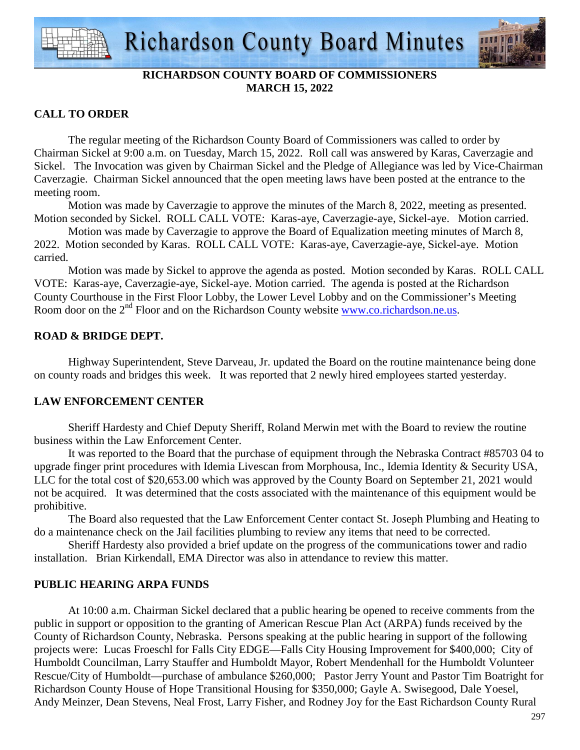

## **RICHARDSON COUNTY BOARD OF COMMISSIONERS MARCH 15, 2022**

## **CALL TO ORDER**

 The regular meeting of the Richardson County Board of Commissioners was called to order by Chairman Sickel at 9:00 a.m. on Tuesday, March 15, 2022. Roll call was answered by Karas, Caverzagie and Sickel. The Invocation was given by Chairman Sickel and the Pledge of Allegiance was led by Vice-Chairman Caverzagie. Chairman Sickel announced that the open meeting laws have been posted at the entrance to the meeting room.

 Motion was made by Caverzagie to approve the minutes of the March 8, 2022, meeting as presented. Motion seconded by Sickel. ROLL CALL VOTE: Karas-aye, Caverzagie-aye, Sickel-aye. Motion carried.

 Motion was made by Caverzagie to approve the Board of Equalization meeting minutes of March 8, 2022. Motion seconded by Karas. ROLL CALL VOTE: Karas-aye, Caverzagie-aye, Sickel-aye. Motion carried.

 Motion was made by Sickel to approve the agenda as posted. Motion seconded by Karas. ROLL CALL VOTE: Karas-aye, Caverzagie-aye, Sickel-aye. Motion carried. The agenda is posted at the Richardson County Courthouse in the First Floor Lobby, the Lower Level Lobby and on the Commissioner's Meeting Room door on the 2<sup>nd</sup> Floor and on the Richardson County website www.co.richardson.ne.us.

## **ROAD & BRIDGE DEPT.**

 Highway Superintendent, Steve Darveau, Jr. updated the Board on the routine maintenance being done on county roads and bridges this week. It was reported that 2 newly hired employees started yesterday.

## **LAW ENFORCEMENT CENTER**

Sheriff Hardesty and Chief Deputy Sheriff, Roland Merwin met with the Board to review the routine business within the Law Enforcement Center.

It was reported to the Board that the purchase of equipment through the Nebraska Contract #85703 04 to upgrade finger print procedures with Idemia Livescan from Morphousa, Inc., Idemia Identity & Security USA, LLC for the total cost of \$20,653.00 which was approved by the County Board on September 21, 2021 would not be acquired. It was determined that the costs associated with the maintenance of this equipment would be prohibitive.

 The Board also requested that the Law Enforcement Center contact St. Joseph Plumbing and Heating to do a maintenance check on the Jail facilities plumbing to review any items that need to be corrected.

 Sheriff Hardesty also provided a brief update on the progress of the communications tower and radio installation. Brian Kirkendall, EMA Director was also in attendance to review this matter.

## **PUBLIC HEARING ARPA FUNDS**

 At 10:00 a.m. Chairman Sickel declared that a public hearing be opened to receive comments from the public in support or opposition to the granting of American Rescue Plan Act (ARPA) funds received by the County of Richardson County, Nebraska. Persons speaking at the public hearing in support of the following projects were: Lucas Froeschl for Falls City EDGE—Falls City Housing Improvement for \$400,000; City of Humboldt Councilman, Larry Stauffer and Humboldt Mayor, Robert Mendenhall for the Humboldt Volunteer Rescue/City of Humboldt—purchase of ambulance \$260,000; Pastor Jerry Yount and Pastor Tim Boatright for Richardson County House of Hope Transitional Housing for \$350,000; Gayle A. Swisegood, Dale Yoesel, Andy Meinzer, Dean Stevens, Neal Frost, Larry Fisher, and Rodney Joy for the East Richardson County Rural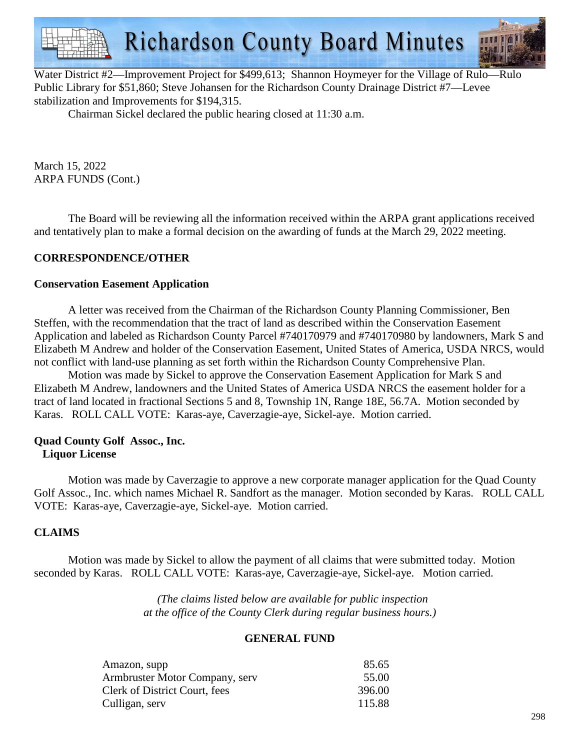

Water District #2—Improvement Project for \$499,613; Shannon Hoymeyer for the Village of Rulo—Rulo Public Library for \$51,860; Steve Johansen for the Richardson County Drainage District #7—Levee stabilization and Improvements for \$194,315.

Chairman Sickel declared the public hearing closed at 11:30 a.m.

March 15, 2022 ARPA FUNDS (Cont.)

 The Board will be reviewing all the information received within the ARPA grant applications received and tentatively plan to make a formal decision on the awarding of funds at the March 29, 2022 meeting.

### **CORRESPONDENCE/OTHER**

#### **Conservation Easement Application**

 A letter was received from the Chairman of the Richardson County Planning Commissioner, Ben Steffen, with the recommendation that the tract of land as described within the Conservation Easement Application and labeled as Richardson County Parcel #740170979 and #740170980 by landowners, Mark S and Elizabeth M Andrew and holder of the Conservation Easement, United States of America, USDA NRCS, would not conflict with land-use planning as set forth within the Richardson County Comprehensive Plan.

Motion was made by Sickel to approve the Conservation Easement Application for Mark S and Elizabeth M Andrew, landowners and the United States of America USDA NRCS the easement holder for a tract of land located in fractional Sections 5 and 8, Township 1N, Range 18E, 56.7A. Motion seconded by Karas. ROLL CALL VOTE: Karas-aye, Caverzagie-aye, Sickel-aye. Motion carried.

#### **Quad County Golf Assoc., Inc. Liquor License**

Motion was made by Caverzagie to approve a new corporate manager application for the Quad County Golf Assoc., Inc. which names Michael R. Sandfort as the manager. Motion seconded by Karas. ROLL CALL VOTE: Karas-aye, Caverzagie-aye, Sickel-aye. Motion carried.

## **CLAIMS**

 Motion was made by Sickel to allow the payment of all claims that were submitted today. Motion seconded by Karas. ROLL CALL VOTE: Karas-aye, Caverzagie-aye, Sickel-aye. Motion carried.

> *(The claims listed below are available for public inspection at the office of the County Clerk during regular business hours.)*

#### **GENERAL FUND**

| Amazon, supp                   | 85.65  |
|--------------------------------|--------|
| Armbruster Motor Company, serv | 55.00  |
| Clerk of District Court, fees  | 396.00 |
| Culligan, serv                 | 115.88 |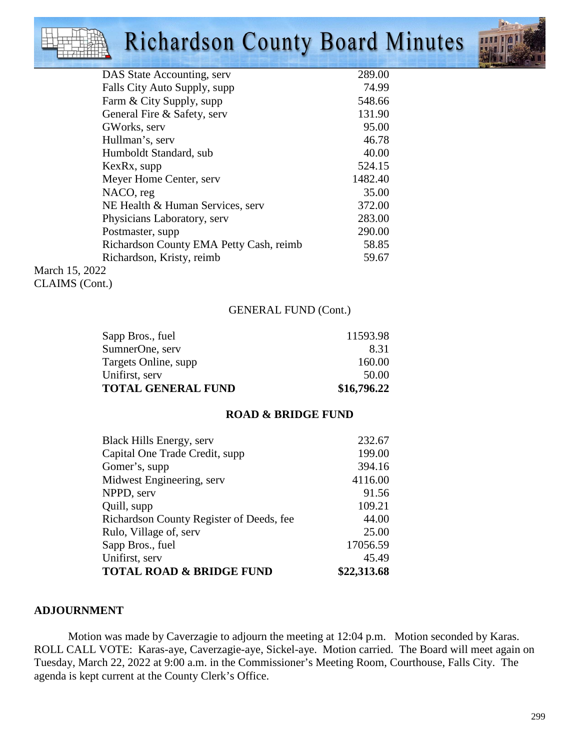# **Richardson County Board Minutes**



| DAS State Accounting, serv              | 289.00  |
|-----------------------------------------|---------|
| Falls City Auto Supply, supp            | 74.99   |
| Farm & City Supply, supp                | 548.66  |
| General Fire & Safety, serv             | 131.90  |
| GWorks, serv                            | 95.00   |
| Hullman's, serv                         | 46.78   |
| Humboldt Standard, sub                  | 40.00   |
| KexRx, supp                             | 524.15  |
| Meyer Home Center, serv                 | 1482.40 |
| NACO, reg                               | 35.00   |
| NE Health & Human Services, serv        | 372.00  |
| Physicians Laboratory, serv             | 283.00  |
| Postmaster, supp.                       | 290.00  |
| Richardson County EMA Petty Cash, reimb | 58.85   |
| Richardson, Kristy, reimb               | 59.67   |
| March 15, 2022                          |         |

March 15, 202 CLAIMS (Cont.)

### GENERAL FUND (Cont.)

| <b>TOTAL GENERAL FUND</b> | \$16,796.22 |
|---------------------------|-------------|
| Unifirst, serv            | 50.00       |
| Targets Online, supp.     | 160.00      |
| SumnerOne, serv           | 8.31        |
| Sapp Bros., fuel          | 11593.98    |

#### **ROAD & BRIDGE FUND**

| Black Hills Energy, serv                 | 232.67      |
|------------------------------------------|-------------|
| Capital One Trade Credit, supp           | 199.00      |
| Gomer's, supp                            | 394.16      |
| Midwest Engineering, serv                | 4116.00     |
| NPPD, serv                               | 91.56       |
| Quill, supp                              | 109.21      |
| Richardson County Register of Deeds, fee | 44.00       |
| Rulo, Village of, serv                   | 25.00       |
| Sapp Bros., fuel                         | 17056.59    |
| Unifirst, serv                           | 45.49       |
| <b>TOTAL ROAD &amp; BRIDGE FUND</b>      | \$22,313.68 |

#### **ADJOURNMENT**

Motion was made by Caverzagie to adjourn the meeting at 12:04 p.m. Motion seconded by Karas. ROLL CALL VOTE: Karas-aye, Caverzagie-aye, Sickel-aye. Motion carried. The Board will meet again on Tuesday, March 22, 2022 at 9:00 a.m. in the Commissioner's Meeting Room, Courthouse, Falls City. The agenda is kept current at the County Clerk's Office.